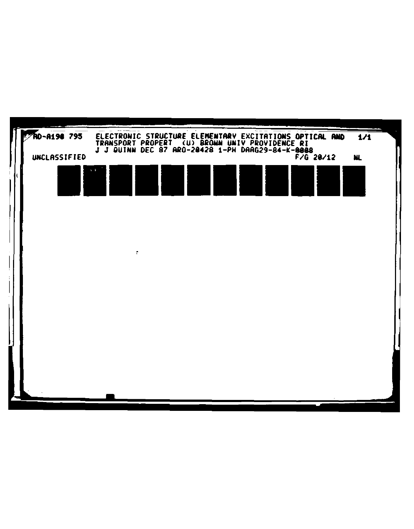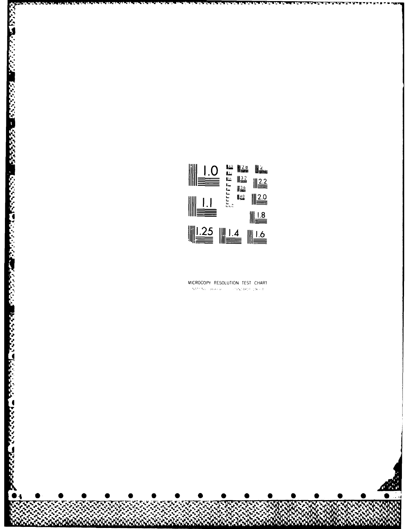

**RANGER SERVICE** 

## MICROCOPY RESOLUTION TEST CHART  $\label{eq:2.1} \mathcal{M}^{\frac{1}{2}+\alpha}\mathcal{N}\alpha=\left\{a_1a_2|a_3\rangle\right\}\qquad\qquad \text{and}\qquad \mathcal{M}^{\frac{1}{2}}\Delta\mathcal{H}^{\frac{1}{2}}\mathcal{R}^{\frac{1}{2}}\geq 0\qquad\qquad \text{and}\qquad$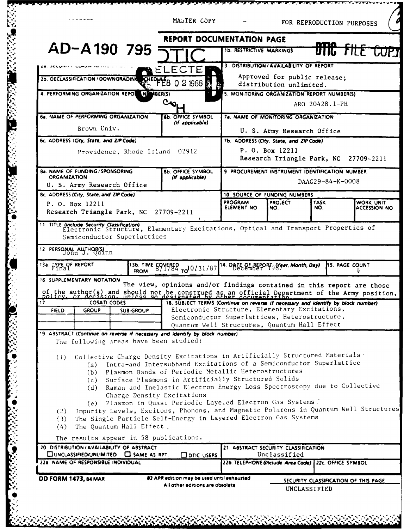|                                                                                                                                                                                                                                                                       | MASTER COPY                                                                                                                                                                                                                                                                                                                                                    |                                                                     |                                                         | FOR REPRODUCTION PURPOSES |                                         |
|-----------------------------------------------------------------------------------------------------------------------------------------------------------------------------------------------------------------------------------------------------------------------|----------------------------------------------------------------------------------------------------------------------------------------------------------------------------------------------------------------------------------------------------------------------------------------------------------------------------------------------------------------|---------------------------------------------------------------------|---------------------------------------------------------|---------------------------|-----------------------------------------|
|                                                                                                                                                                                                                                                                       | <b>REPORT DOCUMENTATION PAGE</b>                                                                                                                                                                                                                                                                                                                               |                                                                     |                                                         |                           |                                         |
| AD-A190 795                                                                                                                                                                                                                                                           |                                                                                                                                                                                                                                                                                                                                                                | <b>1b. RESTRICTIVE MARKINGS</b>                                     |                                                         | णारु साम                  |                                         |
|                                                                                                                                                                                                                                                                       | ELECTE                                                                                                                                                                                                                                                                                                                                                         |                                                                     | 3. DISTRIBUTION / AVAILABILITY OF REPORT                |                           |                                         |
| 2b. DECLASSIFICATION / DOWNGRADING                                                                                                                                                                                                                                    | <b>KHEOFFB</b><br>0 2 1988                                                                                                                                                                                                                                                                                                                                     |                                                                     | Approved for public release;<br>distribution unlimited. |                           |                                         |
| 4. PERFORMING ORGANIZATION REPOL<br>N MBER(S)                                                                                                                                                                                                                         | 5. MONITORING ORGANIZATION REPORT NUMBER(S)<br>ARO 20428.1-PH                                                                                                                                                                                                                                                                                                  |                                                                     |                                                         |                           |                                         |
| <b>6a. NAME OF PERFORMING ORGANIZATION</b>                                                                                                                                                                                                                            | <b>6b. OFFICE SYMBOL</b><br>(If applicable)                                                                                                                                                                                                                                                                                                                    | 78. NAME OF MONITORING ORGANIZATION                                 |                                                         |                           |                                         |
| Brown Univ.                                                                                                                                                                                                                                                           |                                                                                                                                                                                                                                                                                                                                                                | U. S. Army Research Office                                          |                                                         |                           |                                         |
| 6c. ADDRESS (City, State, and ZIP Code)                                                                                                                                                                                                                               | 7b. ADDRESS (City, State, and ZIP Code)<br>P. O. Box 12211                                                                                                                                                                                                                                                                                                     |                                                                     |                                                         |                           |                                         |
| Providence, Rhode Island                                                                                                                                                                                                                                              | 02912                                                                                                                                                                                                                                                                                                                                                          |                                                                     | Research Triangle Park, NC                              |                           | 27709-2211                              |
| <b>8a. NAME OF FUNDING/SPONSORING</b><br><b>ORGANIZATION</b><br>U. S. Army Research Office                                                                                                                                                                            | 8b. OFFICE SYMBOL<br>(If applicable)                                                                                                                                                                                                                                                                                                                           | 9. PROCUREMENT INSTRUMENT IDENTIFICATION NUMBER<br>DAAG29-84-K-0008 |                                                         |                           |                                         |
| 8c. ADDRESS (City, State, and ZIP Code)                                                                                                                                                                                                                               |                                                                                                                                                                                                                                                                                                                                                                | 10. SOURCE OF FUNDING NUMBERS                                       |                                                         |                           |                                         |
| P. O. Box 12211<br>Research Triangle Park, NC 27709-2211                                                                                                                                                                                                              |                                                                                                                                                                                                                                                                                                                                                                | <b>PROGRAM</b><br>ELEMENT NO.                                       | <b>PROJECT</b><br>NO.                                   | <b>TASK</b><br>NO.        | <b>WORK UNIT</b><br><b>ACCESSION NO</b> |
| IT TITLE (Include Security Classification)<br>Electronic Structure, Elementary Excitations, Optical and Transport Properties of<br>Semiconductor Superlattices<br>12 PERSONAL AUTHOR(S)                                                                               |                                                                                                                                                                                                                                                                                                                                                                |                                                                     |                                                         |                           |                                         |
| 13a. IYPE OF REPORT                                                                                                                                                                                                                                                   | 13b. TIME SOVERED TO 0/31/87                                                                                                                                                                                                                                                                                                                                   | 14. DATE OF REPORT GY ar, Month, Day)                               |                                                         |                           | <b>h5. PAGE COUNT</b><br>9.             |
| 16. SUPPLEMENTARY NOTATION                                                                                                                                                                                                                                            | The view, opinions and/or findings contained in this report are those                                                                                                                                                                                                                                                                                          |                                                                     |                                                         |                           |                                         |
| of the author(s) and should not be construed as an official Department of the Army position,<br>17.<br><b>COSATI CODES</b><br>18. SUBJECT TERMS (Continue on reverse if necessary and identify by block number)                                                       |                                                                                                                                                                                                                                                                                                                                                                |                                                                     |                                                         |                           |                                         |
| <b>GROUP</b><br><b>FIELD</b><br><b>SUB-GROUP</b>                                                                                                                                                                                                                      | Electronic Structure, Elementary Excitations,<br>Semiconductor Superlattices, Heterostructure,                                                                                                                                                                                                                                                                 |                                                                     |                                                         |                           |                                         |
|                                                                                                                                                                                                                                                                       | Quantum Well Structures, Quantum Hall Effect                                                                                                                                                                                                                                                                                                                   |                                                                     |                                                         |                           |                                         |
| 19. ABSTRACT (Continue on reverse if necessary and identify by block number)<br>The following areas have been studied:                                                                                                                                                |                                                                                                                                                                                                                                                                                                                                                                |                                                                     |                                                         |                           |                                         |
| (1) Collective Charge Density Excitations in Artificially Structured Materials<br>(d)<br>(e)<br>Impurity Levels, Excitons, Phonons, and Magnetic Polarons in Quantum Well Structures<br>(2)<br>The Single Particle Self-Energy in Layered Electron Gas Systems<br>(3) | (a) Intra-and Intersubband Excitations of a Semiconductor Superlattice<br>(b) Plasmon Bands of Periodic Metallic Heterostructures<br>(c) Surface Plasmons in Artificially Structured Solids<br>Raman and Inelastic Electron Energy Loss Spectroscopy due to Collective<br>Charge Density Excitations<br>Plasmon in Quasi Periodic Layered Electron Gas Systems |                                                                     |                                                         |                           |                                         |
| The Quantum Hall Effect.<br>(4)<br>The results appear in 58 publications.                                                                                                                                                                                             |                                                                                                                                                                                                                                                                                                                                                                |                                                                     |                                                         |                           |                                         |
| 20. DISTRIBUTION / AVAILABILITY OF ABSTRACT                                                                                                                                                                                                                           |                                                                                                                                                                                                                                                                                                                                                                | 21. ABSTRACT SECURITY CLASSIFICATION                                |                                                         |                           |                                         |
| $\square$ UNCLASSIFIED/UNLIMITED $\square$ SAME AS RPT.<br>22a. NAME OF RESPONSIBLE INDIVIDUAL                                                                                                                                                                        | OD DTIC USERS                                                                                                                                                                                                                                                                                                                                                  | 22b. TELEPHONE (Include Area Code) 22c. OFFICE SYMBOL               | Unclassified                                            |                           |                                         |
|                                                                                                                                                                                                                                                                       |                                                                                                                                                                                                                                                                                                                                                                |                                                                     |                                                         |                           |                                         |
| <b>DD FORM 1473, 84 MAR</b>                                                                                                                                                                                                                                           | 83 APR edition may be used until exhausted.<br>All other editions are obsolete                                                                                                                                                                                                                                                                                 | SECURITY CLASSIFICATION OF THIS PAGE<br>UNCLASSIFIED                |                                                         |                           |                                         |
|                                                                                                                                                                                                                                                                       |                                                                                                                                                                                                                                                                                                                                                                |                                                                     |                                                         |                           |                                         |

<u>Maria I</u>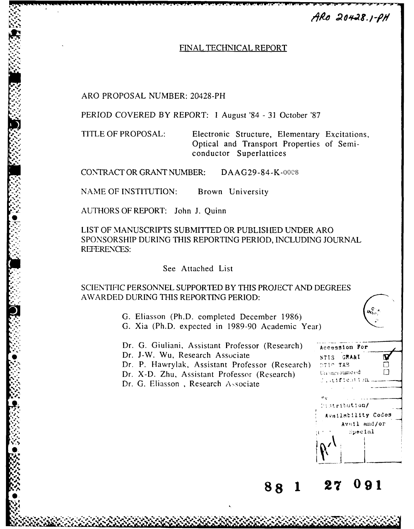$ARO$  20428.1- $\rho H$ 

## FINAL TECHNICAL REPORT

ARO PROPOSAL NUMBER: 20428-PH

PERIOD COVERED BY REPORT: 1 August '84 - 31 October '87

TITLE OF PROPOSAL: Electronic Structure, Elementary Excitations, Optical and Transport Properties of Semiconductor Superlattices

CONTRACT OR GRANT NUMBER: DAAG29-84-K-ooC8

NAME OF INSTITUTION: Brown University

**d-** AUTHORS OF REPORT: John J. Quinn

**LIST** OF **MANUSCRIPTS SUBMITTED** OR **PUBLISHED UNDER** ARO **SPONSORSHIP DURING THIS** REPORTING PERIOD, **INCLUDING JOURNAL** REFERENCES:

## See Attached List

SCIENTIFIC PERSONNEL SUPPORTED BY **THIS** PROJECT AND DEGREES AWARDED DURING THIS REPORTING PERIOD:

> G. Eliasson (Ph.D. completed December 1986) G. Xia (Ph.D. expected in 1989-90 Academic Year)

Dr. G. Giuliani, Assistant Professor (Research) Accession For Dr. J-W. Wu, Research Associate **NTIS** GRAAI Dr. P. Hawrylak, Assistant Professor (Research) **DTIC TAB** Dr. X-D. Zhu, Assistant Professor (Research) (International E-Dr. G. Eliasson, Research Associate



**88 1 27 09 1**

*"w"*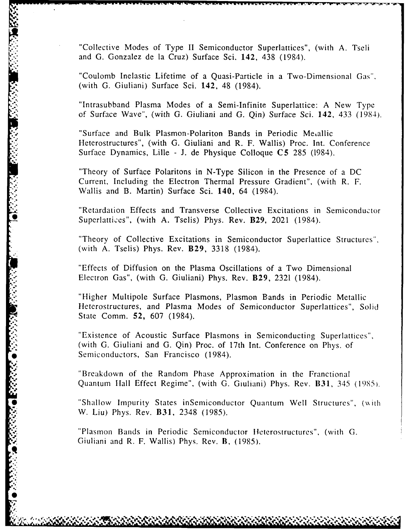"Collective Modes of Type II Semiconductor Superlattices", (with A. Tseli and G. Gonzalez de la Cruz) Surface Sci. 142, 438 (1984).

"Coulomb Inelastic Lifetime of a Quasi-Particle in a Two-Dimensional Gas". (with G. Giuliani) Surface Sci. 142, 48 (1984).

"Intrasubband Plasma Modes of a Semi-Infinite Superlattice: A New Type of Surface Wave", (with G. Giuliani and G. Qin) Surface Sci. 142, 433 (1984).

"Surface and Bulk Plasmon-Polariton Bands in Periodic Metallic Heterostructures", (with G. Giuliani and R. F. Wallis) Proc. Int. Conference Surface Dynamics, Lille - J. de Physique Colloque C5 285 (1984).

"Theory of Surface Polaritons in N-Type Silicon in the Presence of a DC Current, Including the Electron Thermal Pressure Gradient", (with R. F. Wallis and B. Martin) Surface Sci. 140, 64 (1984).

"Retardation Effects and Transverse Collective Excitations in Semiconductor Superlattices", (with A. Tselis) Phys. Rev. B29, 2021 (1984).

"Theory of Collective Excitations in Semiconductor Superlattice Structures", (with A. Tselis) Phys. Rev. B29, 3318 (1984).

"Effects of Diffusion on the Plasma Oscillations of a Two Dimensional Electron Gas", (with G. Giuliani) Phys. Rev. B29, 2321 (1984).

"Higher Multipole Surface Plasmons, Plasmon Bands in Periodic Metallic Heterostructures, and Plasma Modes of Semiconductor Superlattices", Solid State Comm. 52, 607 (1984).

"Existence of Acoustic Surface Plasmons in Semiconducting Superlattices". (with G. Giuliani and G. Qin) Proc. of 17th Int. Conference on Phys. of State Comm. 52, 607 (1984).<br>
"Existence of Acoustic Surface Plasmo<br>
(with G. Giuliani and G. Qin) Proc. of 1<br>
Semiconductors, San Francisco (1984).<br>
"Breakdown of the Random Phase App<br>
Quantum Hall Effect Regime", (with G.

"Breakdown of the Random Phase Approximation in the Franctional Quantum Hall Effect Regime", (with G. Giuliani) Phys. Rev. B31, 345 (1985).

"Shallow Impurity States inSemiconductor Quantum Well Structures", (with W. Liu) Phys. Rev. **B31,** 2348 (1985).

"Plasmon Bands in Periodic Semiconductor Heterostructures", (with G. Giuliani and R. F. Wallis) Phys. Rev. **B**, (1985).

**IK.z**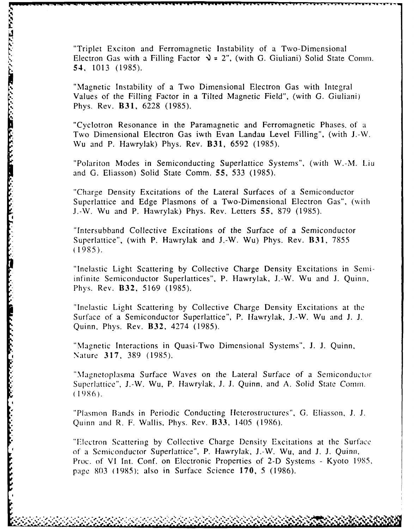"Triplet Exciton and Ferromagnetic Instability of a Two-Dimensional Electron Gas with a Filling Factor  $\lambda = 2$ ", (with G. Giuliani) Solid State Comm. 54, 1013 (1985).

"Magnetic Instability of a Two Dimensional Electron Gas with Integral Values of the Filling Factor in a Tilted Magnetic Field", (with G. Giuliani) Phys. Rev. B31, 6228 (1985).

**AT INSTRUCTION OF THE STATE OF A STATE OF A STATE PASS** 

"Cyclotron Resonance in the Paramagnetic and Ferromagnetic Phases. of a Two Dimensional Electron Gas iwth Evan Landau Level Filling", (with J.-W. Wu and P. Hawrylak) Phys. Rev. B31, 6592 (1985).

"Polariton Modes in Semiconducting Superlattice Systems", (with W.-M. Liu and G. Eliasson) Solid State Comm. 55, 533 (1985).

'Charge Density Excitations of the Lateral Surfaces of a Semiconductor Superlattice and Edge Plasmons of a Two-Dimensional Electron Gas", (with J.-W. Wu and P. Hawrylak) Phys. Rev. Letters 55, 879 (1985).

"Intersubband Collective Excitations of the Surface of a Semiconductor Superlattice", (with P. Hawrylak and J.-W. Wu) Phys. Rev. B31, 7855 (1985).

"Inelastic Light Scattering by Collective Charge Density Excitations in Semiinfinite Semiconductor Superlattices", P. Hawrylak, J.-W. Wu and J. Quinn, Phys. Rev. B32, 5169 (1985).

"Inelastic Light Scattering by Collective Charge Density Excitations at the Surface of a Semiconductor Superlattice", P. Hawrylak, J.-W. Wu and J. J. Quinn, Phys. Rev. B32, 4274 (1985).

"Magnetic Interactions in Quasi-Two Dimensional Systems", **J.** J. Quinn, Nature 317, 389 (1985).

"Magnetoplasma Surface Waves on the Lateral Surface of a Semiconductor Superlattice", J.-W. Wu, P. Hawrylak, J. J. Quinn, and A. Solid State Comm. **(1986).**

"Plasmon Bands in Periodic Conducting Ileterostructures", G. Eliasson, J. J. Quinn and R. F. Wallis, Phys. Rev. B33, 1405 (1986).

"Electron Scattering by Collective Charge Density Excitations at the Surface of a Semiconductor Superlattice", P. Hawrylak, J.-W. Wu, and J. J. Quinn, Proc. of VI Int. Conf. on Electronic Properties of 2-D Systems - Kyoto 1985, page **803** (1985), also in Surface Science 170, 5 (1986).

.............. ,...&'.'.. .,.. -'..,\_ .,..\_. ... .... .. ..- .. ... ' '\_.,.'... .... -,'.,'.,-,- ,'..,. ' ,, '.q\*, . **,\*** <sup>7</sup>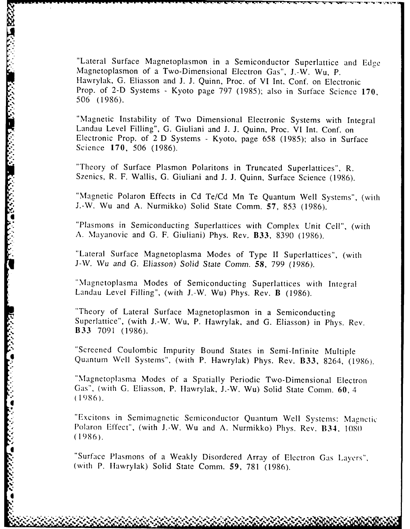"Lateral Surface Magnetoplasmon in a Semiconductor Superlattice and Edge Magnetoplasmon of a Two-Dimensional Electron Gas", J.-W. Wu, P. Hawrylak, G. Eliasson and J. J. Quinn, Proc. of VI Int. Conf. on Electronic Prop. of 2-D Systems - Kyoto page 797 (1985); also in Surface Science 170, 506 (1986).

"Magnetic Instability of Two Dimensional Electronic Systems with Integral Landau Level Filling", G. Giuliani and J. J. Quinn, Proc. VI Int. Conf. on Electronic Prop. of 2 D Systems - Kyoto, page 658 (1985); also in Surface Science 170, 506 (1986).

"Theory of Surface Plasmon Polaritons in Truncated Superlattices", R. Szenics, R. F. Wallis, G. Giuliani and J. J. Quinn, Surface Science (1986).

"Magnetic Polaron Effects in Cd Te/Cd Mn Te Quantum Well Systems", (with J.-W. Wu and A. Nurmikko) Solid State Comm. 57, 853 (1986).

Plasmons in Semiconducting Superlattices with Complex Unit Cell", (with A. Mayanovic and G. F. Giuliani) Phys. Rev. B33, 8390 (1986).

"Lateral Surface Magnetoplasma Modes of Type II Superlattices", (with J-W. Wu and **G.** *Eliasson)* Solid State *Comm.* 58, 799 (1986).

"Magnetoplasma Modes of Semiconducting Superlattices with Integral Landau Level Filling", (with J.-W. Wu) Phys. Rev. B (1986).

"Theory of Lateral Surface Magnetoplasmon in a Semiconducting Superlattice", (with J.-W. Wu, P. Hawrylak, and G. Eliasson) in Phys. Rev. B33 7091 (1986).

"Screened Coulombic Impurity Bound States in Semi-Infinite Multiple Quantum Well Systems", (with P. Hawrylak) Phys. Rev. B33, 8264, (1986).

"Magnetoplasma Modes of a Spatially Periodic Two-Dimensional Electron Gas", (with G. Eliasson, P. Hawrylak, J.-W. Wu) Solid State Comm. 60, 4 (1986).

"Excitons in Semimagnetic Semiconductor Quantum Well Systems: Magnetic Polaron Effect", (with J.-W. Wu and A. Nurmikko) Phys. Rev. **B34, <sup>1080</sup>** (1986).

"Surface Plasmons of a Weakly Disordered Array of Electron Gas Layers". (with P. Ilawrylak) Solid State Comm. **59,** 781 (1986).

 $\bullet$   $\bullet$   $\bullet$   $\bullet$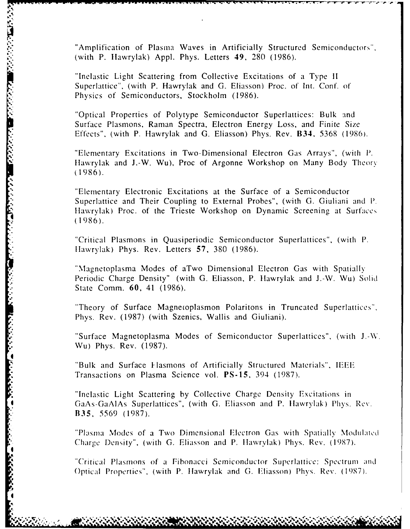"Amplification of Plasma Waves in Artificially Structured Semiconductors". (with P. Ilawrylak) Appl. Phys. Letters 49, 280 (1986).

"Inelastic Light Scattering from Collective Excitations of a Type II Superlattice", (with P. Hawrylak and G. Eliasson) Proc. of Int. Conf. of Physics of Semiconductors, Stockholm (1986).

"Optical Properties of Polytype Semiconductor Superlattices: Bulk and Surface Plasmons, Raman Spectra, Electron Energy Loss, and Finite Size Effects", (with P. Hawrylak and G. Eliasson) Phys. Rev. B34, 5368 (1986).

"Elementary Excitations in Two-Dimensional Electron Gas Arrays", (with **P.** Hawrylak and J.-W. Wu), Proc of Argonne Workshop on Many Body Theory (1986).

"Elementary Electronic Excitations at the Surface of a Semiconductor Superlattice and Their Coupling to External Probes", (with G. Giuliani and P. Hawrvlak) Proc. of the Trieste Workshop on Dynamic Screening at Surfaces (1986).

"Critical Plasmons in Quasiperiodic Semiconductor Superlattices", (with P. tlawrylak) Phys. Rev. Letters **57,** 380 (1986).

Magnetoplasma Modes of aTwo Dimensional Electron Gas with Spatially Periodic Charge Density" (with **G.** Eliasson, P. Ilawrylak and J.-W. Wu) Solid State Comm. **60,** 41 (1986).

"Theory of Surface Magnetoplasmon Polaritons in Truncated Superlattices", Phys. Rev. (1987) (with Szenics, Wallis and Giuliani).

"Surface Magnetoplasma Modes of Semiconductor Superlattices", (with **J.-W.** Wu) Phys. Rev. (1987).

"Bulk and Surface Hasmons of Artificially Structured Materials", IEEE \* Transactions on Plasma Science vol. **PS-15,** 394 (1987).

**4**

**PARTICIPATE** 

ストリング・ファイン しょうかい

**CASSASS** 

**I**

"Inelastic Light Scattering by Collective Charge Density Excitations in GaAs-GaAIAs Superlattices", (with G. Eliasson and P. Hawrylak) Phys. Rev. B35, 5569 (1987).

"Plasma Modes of a Two Dimensional Electron Gas with Spatially Moduteld Charge Density", (with G. Eliasson and P. Hawrylak) Phys. Rev. (1987).

"Critical Plasmons of **a** Fibonacci Semiconductor Superlattice: Spectrum aid Optical Properties", (with P. Hawrylak and G. Eliasson) Phys. Rev. (1987).

**-** - **I I** . **I-** - **I'I** -|11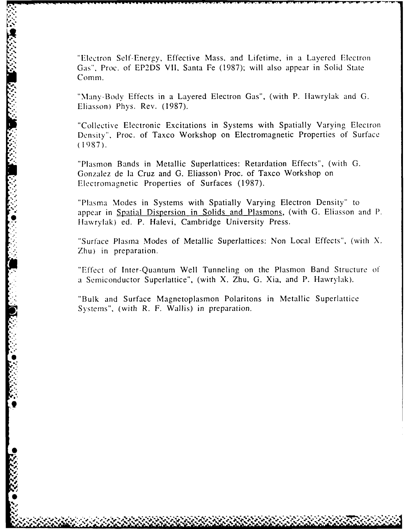"Electron Self-Energy, Effective Mass, and Lifetime, in a Layered Electron Gas", Proc. of **EP2DS** VII, Santa Fe **(1987);** will also appear in Solid State Comm.

"Many-Body Effects in a Layered Electron Gas", (with P. Ilawrylak and **G.** Eliasson) Phys. Rev. **(1987).**

"Collective Electronic Excitations in Systems with Spatially Varying Electron Density", Proc. of Taxco Workshop on Electromagnetic Properties **of** Surface **(1987).**

"Plasmon Bands in Metallic Superlattices: Retardation Effects", (with **G.** Gonzalez de la Cruz and G. Eliasson) Proc. of Taxco Workshop on Electromagnetic Properties of Surfaces **(1987).**

"Plasma Modes in Systems with Spatially Varying Electron Density" to appear in Spatial Dispersion in Solids and Plasmons, (with **G.** Eliasson and **P.** Hawrylak) ed. P. Halevi, Cambridge University Press.

"Surface Plasma Modes of Metallic Superlattices: Non Local Effects", (with **X.** Zhu) in preparation.

"Effect of Inter-Quantum Well Tunneling on the Plasmon Band Structure **of a** Semiconductor Superlattice", (with X. Zhu, **G.** Xia, and P. Hawrylak).

"Bulk and Surface Magnetoplasmon Polaritons in Metallic Superlattice Systems", (with R. F. Wallis) in preparation.

**S:i**

**9w**

 $\dot{\bullet}$ 

**'p**

**'p.** *g* **brmr.FI'**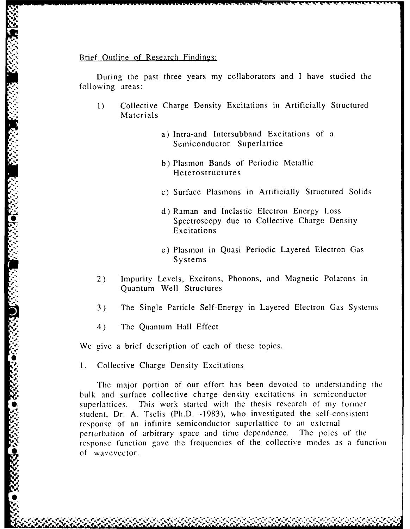## Brief Outline of Research Findings:

During the past three years my collaborators and I have studied the following areas:

- 1) Collective Charge Density Excitations in Artificially Structured Materials
	- a) Intra-and Intersubband Excitations of a Semiconductor Superlattice
	- b) Plasmon Bands of Periodic Metallic Hetero structures
	- c) Surface Plasmons in Artificially Structured Solids
	- d) Raman and Inelastic Electron Energy Loss Spectroscopy due to Collective Charge Density Excitations
	- e) Plasmon in Quasi Periodic Layered Electron Gas Systems
- 2) Impurity Levels, Excitons, Phonons, and Magnetic Polarons in Quantum Well Structures
- 3) The Single Particle Self-Energy in Layered Electron Gas Systems
- 4) The Quantum Hall Effect

We give a brief description of each of these topics.

**% %%\*.**

1. Collective Charge Density Excitations

**<sup>01</sup>***.f* **e. . . . . . .**

The major portion of our effort has been devoted to understanding the bulk and surface collective charge density excitations in semiconductor **O.** The Quantum Hall Effect<br>
We give a brief description of each of these topics.<br>
1. Collective Charge Density Excitations<br>
The major portion of our effort has been devoted to understanding<br>
bulk and surface collective c student, Dr. A. Tselis (Ph.D. -1983), who investigated the self-consistent response of an infinite semiconductor superlattice to an external perturbation of arbitrary space and time dependence. The poles of the response function gave the frequencies of the collective modes as a function of wavevector.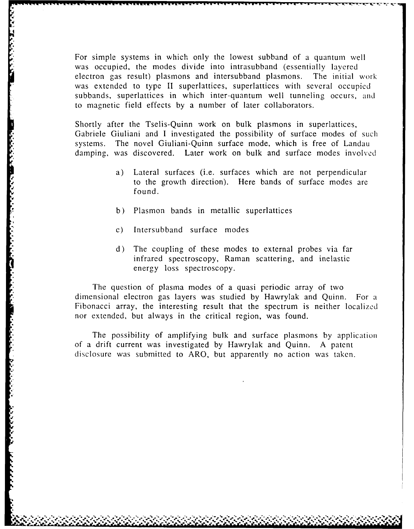For simple systems in which only the lowest subband of a quantum well was occupied, the modes divide into intrasubband (essentially layered electron gas result) plasmons and intersubband plasmons. The initial work was extended to type **1I** superlattices, superlattices with several occupied subbands, superlattices in which inter-quantum well tunneling occurs, and to magnetic field effects by a number of later collaborators.

Shortly after the Tselis-Quinn work on bulk plasmons in superlattices, Gabriele Giuliani and I investigated the possibility of surface modes of such systems. The novel Giuliani-Quinn surface mode, which is free of Landau damping, was discovered. Later work on bulk and surface modes involved

- a) Lateral surfaces (i.e. surfaces which are not perpendicular to the growth direction). Here bands of surface modes are found.
- b) Plasmon bands in metallic superlattices
- c) Intersubband surface modes

*I*

**,**

d) The coupling of these modes to external probes via far infrared spectroscopy, Raman scattering, and inelastic energy loss spectroscopy.

The question of plasma modes of a quasi periodic array of two dimensional electron gas layers was studied by Hawrylak and Quinn. For **a** Fibonacci array, the interesting result that the spectrum is neither localized nor extended, but always in the critical region, was found.

The possibility of amplifying bulk and surface plasmons by application of a drift current was investigated by Hawrylak and Quinn. A patent disclosure was submitted to ARO, but apparently no action was taken.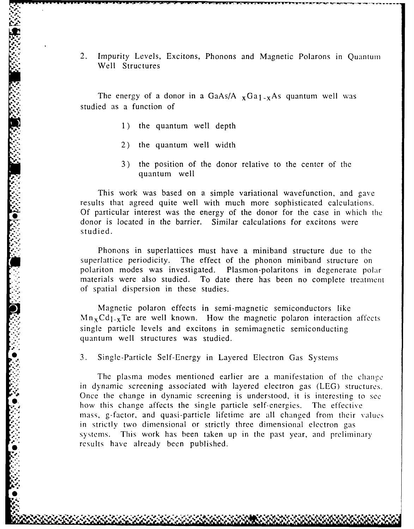2. Impurity Levels, Excitons, Phonons and Magnetic Polarons in Quantum Well Structures

**-- - - - - - . ....... n r-** ~ .. -

The energy of a donor in a GaAs/A  $_{x}$ Ga<sub>1-x</sub>As quantum well was studied as a function of

- **1)** the quantum well depth
- 2) the quantum well width
- 3) the position of the donor relative to the center of the quantum well

This work was based on a simple variational wavefunction, and gave results that agreed quite well with much more sophisticated calculations. Of particular interest was the energy of the donor for the case in which the donor is located in the barrier. Similar calculations for excitons were studied.

Phonons in superlattices must have a miniband structure due to the superlattice periodicity. The effect of the phonon miniband structure on polariton modes was investigated. Plasmon-polaritons in degenerate polar materials were also studied. To date there has been no complete treatment of spatial dispersion in these studies.

Magnetic polaron effects in semi-magnetic semiconductors like  $Mn<sub>x</sub>Cd<sub>1-x</sub>Te$  are well known. How the magnetic polaron interaction affects single particle levels and excitons in semimagnetic semiconducting quantum well structures was studied.

**S3.** Single-Particle Self-Energy in Layered Electron Gas Systems

**.** *sk*

. The plasma modes mentioned earlier are a manifestation of the chance in dynamic screening associated with layered electron gas (LEG) structures. Once the change in dynamic screening is understood, it is interesting to see how this change affects the single particle self-cnergies. The effective mass, g-factor, and quasi-particle lifetime are all changed from their values in strictly two dimensional or strictly three dimensional electron gas systems. This work has been taken up in the past year, and preliminary results have already been published.